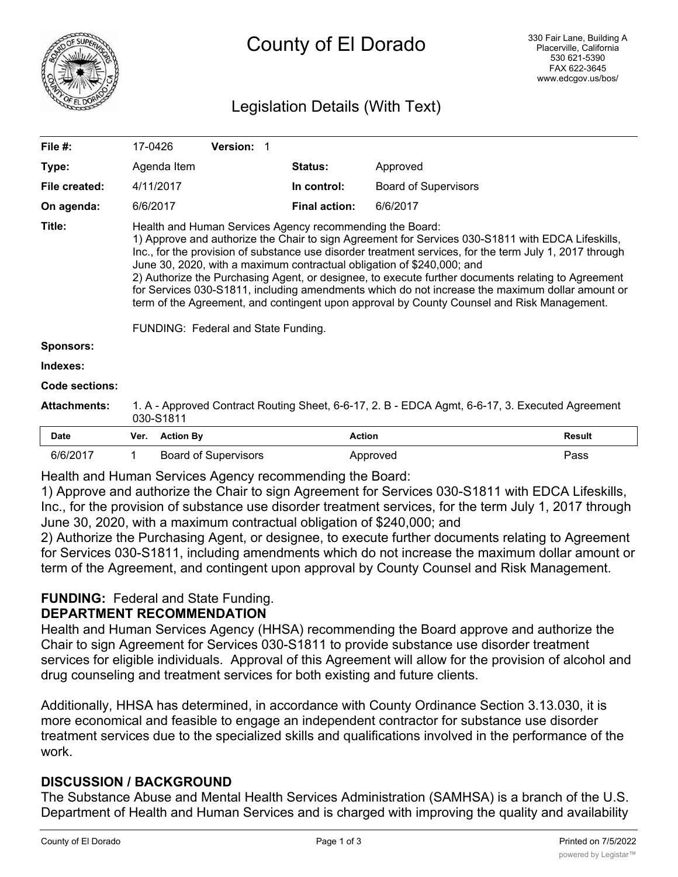

# Legislation Details (With Text)

| File $#$ :          | 17-0426                                                                                                                                                                                                                                                                                                                                                                                                                                                                                                                                                                                                                                                                                          |                  | <b>Version: 1</b>           |  |                      |                             |               |
|---------------------|--------------------------------------------------------------------------------------------------------------------------------------------------------------------------------------------------------------------------------------------------------------------------------------------------------------------------------------------------------------------------------------------------------------------------------------------------------------------------------------------------------------------------------------------------------------------------------------------------------------------------------------------------------------------------------------------------|------------------|-----------------------------|--|----------------------|-----------------------------|---------------|
| Type:               |                                                                                                                                                                                                                                                                                                                                                                                                                                                                                                                                                                                                                                                                                                  | Agenda Item      |                             |  | <b>Status:</b>       | Approved                    |               |
| File created:       |                                                                                                                                                                                                                                                                                                                                                                                                                                                                                                                                                                                                                                                                                                  | 4/11/2017        |                             |  | In control:          | <b>Board of Supervisors</b> |               |
| On agenda:          | 6/6/2017                                                                                                                                                                                                                                                                                                                                                                                                                                                                                                                                                                                                                                                                                         |                  |                             |  | <b>Final action:</b> | 6/6/2017                    |               |
| Title:              | Health and Human Services Agency recommending the Board:<br>1) Approve and authorize the Chair to sign Agreement for Services 030-S1811 with EDCA Lifeskills,<br>Inc., for the provision of substance use disorder treatment services, for the term July 1, 2017 through<br>June 30, 2020, with a maximum contractual obligation of \$240,000; and<br>2) Authorize the Purchasing Agent, or designee, to execute further documents relating to Agreement<br>for Services 030-S1811, including amendments which do not increase the maximum dollar amount or<br>term of the Agreement, and contingent upon approval by County Counsel and Risk Management.<br>FUNDING: Federal and State Funding. |                  |                             |  |                      |                             |               |
| <b>Sponsors:</b>    |                                                                                                                                                                                                                                                                                                                                                                                                                                                                                                                                                                                                                                                                                                  |                  |                             |  |                      |                             |               |
| Indexes:            |                                                                                                                                                                                                                                                                                                                                                                                                                                                                                                                                                                                                                                                                                                  |                  |                             |  |                      |                             |               |
| Code sections:      |                                                                                                                                                                                                                                                                                                                                                                                                                                                                                                                                                                                                                                                                                                  |                  |                             |  |                      |                             |               |
| <b>Attachments:</b> | 1. A - Approved Contract Routing Sheet, 6-6-17, 2. B - EDCA Agmt, 6-6-17, 3. Executed Agreement<br>030-S1811                                                                                                                                                                                                                                                                                                                                                                                                                                                                                                                                                                                     |                  |                             |  |                      |                             |               |
| <b>Date</b>         | Ver.                                                                                                                                                                                                                                                                                                                                                                                                                                                                                                                                                                                                                                                                                             | <b>Action By</b> |                             |  | <b>Action</b>        |                             | <b>Result</b> |
| 6/6/2017            | 1                                                                                                                                                                                                                                                                                                                                                                                                                                                                                                                                                                                                                                                                                                |                  | <b>Board of Supervisors</b> |  |                      | Approved                    | Pass          |

Health and Human Services Agency recommending the Board:

1) Approve and authorize the Chair to sign Agreement for Services 030-S1811 with EDCA Lifeskills, Inc., for the provision of substance use disorder treatment services, for the term July 1, 2017 through June 30, 2020, with a maximum contractual obligation of \$240,000; and

2) Authorize the Purchasing Agent, or designee, to execute further documents relating to Agreement for Services 030-S1811, including amendments which do not increase the maximum dollar amount or term of the Agreement, and contingent upon approval by County Counsel and Risk Management.

## **FUNDING:** Federal and State Funding.

#### **DEPARTMENT RECOMMENDATION**

Health and Human Services Agency (HHSA) recommending the Board approve and authorize the Chair to sign Agreement for Services 030-S1811 to provide substance use disorder treatment services for eligible individuals. Approval of this Agreement will allow for the provision of alcohol and drug counseling and treatment services for both existing and future clients.

Additionally, HHSA has determined, in accordance with County Ordinance Section 3.13.030, it is more economical and feasible to engage an independent contractor for substance use disorder treatment services due to the specialized skills and qualifications involved in the performance of the work.

#### **DISCUSSION / BACKGROUND**

The Substance Abuse and Mental Health Services Administration (SAMHSA) is a branch of the U.S. Department of Health and Human Services and is charged with improving the quality and availability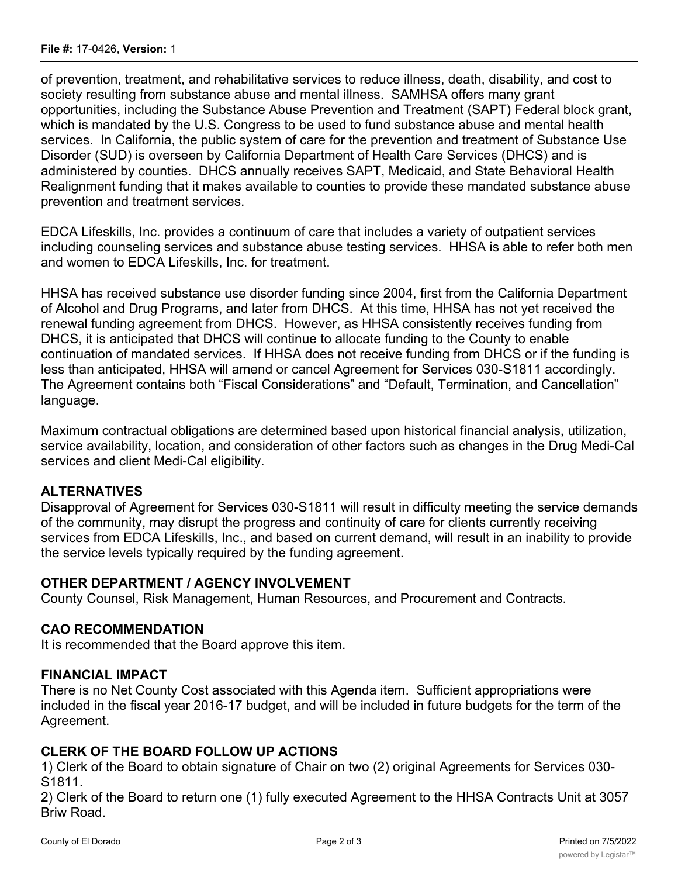of prevention, treatment, and rehabilitative services to reduce illness, death, disability, and cost to society resulting from substance abuse and mental illness. SAMHSA offers many grant opportunities, including the Substance Abuse Prevention and Treatment (SAPT) Federal block grant, which is mandated by the U.S. Congress to be used to fund substance abuse and mental health services. In California, the public system of care for the prevention and treatment of Substance Use Disorder (SUD) is overseen by California Department of Health Care Services (DHCS) and is administered by counties. DHCS annually receives SAPT, Medicaid, and State Behavioral Health Realignment funding that it makes available to counties to provide these mandated substance abuse prevention and treatment services.

EDCA Lifeskills, Inc. provides a continuum of care that includes a variety of outpatient services including counseling services and substance abuse testing services. HHSA is able to refer both men and women to EDCA Lifeskills, Inc. for treatment.

HHSA has received substance use disorder funding since 2004, first from the California Department of Alcohol and Drug Programs, and later from DHCS. At this time, HHSA has not yet received the renewal funding agreement from DHCS. However, as HHSA consistently receives funding from DHCS, it is anticipated that DHCS will continue to allocate funding to the County to enable continuation of mandated services. If HHSA does not receive funding from DHCS or if the funding is less than anticipated, HHSA will amend or cancel Agreement for Services 030-S1811 accordingly. The Agreement contains both "Fiscal Considerations" and "Default, Termination, and Cancellation" language.

Maximum contractual obligations are determined based upon historical financial analysis, utilization, service availability, location, and consideration of other factors such as changes in the Drug Medi-Cal services and client Medi-Cal eligibility.

## **ALTERNATIVES**

Disapproval of Agreement for Services 030-S1811 will result in difficulty meeting the service demands of the community, may disrupt the progress and continuity of care for clients currently receiving services from EDCA Lifeskills, Inc., and based on current demand, will result in an inability to provide the service levels typically required by the funding agreement.

#### **OTHER DEPARTMENT / AGENCY INVOLVEMENT**

County Counsel, Risk Management, Human Resources, and Procurement and Contracts.

#### **CAO RECOMMENDATION**

It is recommended that the Board approve this item.

#### **FINANCIAL IMPACT**

There is no Net County Cost associated with this Agenda item. Sufficient appropriations were included in the fiscal year 2016-17 budget, and will be included in future budgets for the term of the Agreement.

### **CLERK OF THE BOARD FOLLOW UP ACTIONS**

1) Clerk of the Board to obtain signature of Chair on two (2) original Agreements for Services 030- S1811.

2) Clerk of the Board to return one (1) fully executed Agreement to the HHSA Contracts Unit at 3057 Briw Road.